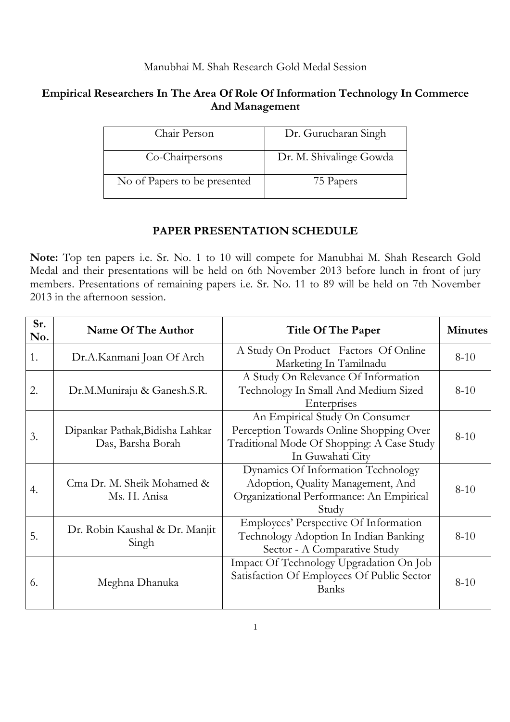## Manubhai M. Shah Research Gold Medal Session

## **Empirical Researchers In The Area Of Role Of Information Technology In Commerce And Management**

| Chair Person                 | Dr. Gurucharan Singh    |
|------------------------------|-------------------------|
| Co-Chairpersons              | Dr. M. Shivalinge Gowda |
| No of Papers to be presented | 75 Papers               |

## **PAPER PRESENTATION SCHEDULE**

**Note:** Top ten papers i.e. Sr. No. 1 to 10 will compete for Manubhai M. Shah Research Gold Medal and their presentations will be held on 6th November 2013 before lunch in front of jury members. Presentations of remaining papers i.e. Sr. No. 11 to 89 will be held on 7th November 2013 in the afternoon session.

| Sr.<br>No. | Name Of The Author                                   | Title Of The Paper                                                                                                                          | <b>Minutes</b> |
|------------|------------------------------------------------------|---------------------------------------------------------------------------------------------------------------------------------------------|----------------|
| 1.         | Dr.A.Kanmani Joan Of Arch                            | A Study On Product Factors Of Online<br>Marketing In Tamilnadu                                                                              | $8 - 10$       |
| 2.         | Dr.M.Muniraju & Ganesh.S.R.                          | A Study On Relevance Of Information<br>Technology In Small And Medium Sized<br>Enterprises                                                  | $8 - 10$       |
| 3.         | Dipankar Pathak, Bidisha Lahkar<br>Das, Barsha Borah | An Empirical Study On Consumer<br>Perception Towards Online Shopping Over<br>Traditional Mode Of Shopping: A Case Study<br>In Guwahati City | $8 - 10$       |
| 4.         | Cma Dr. M. Sheik Mohamed &<br>Ms. H. Anisa           | Dynamics Of Information Technology<br>Adoption, Quality Management, And<br>Organizational Performance: An Empirical<br>Study                | $8 - 10$       |
| 5.         | Dr. Robin Kaushal & Dr. Manjit<br>Singh              | Employees' Perspective Of Information<br>Technology Adoption In Indian Banking<br>Sector - A Comparative Study                              | $8 - 10$       |
| 6.         | Meghna Dhanuka                                       | Impact Of Technology Upgradation On Job<br>Satisfaction Of Employees Of Public Sector<br><b>Banks</b>                                       | $8 - 10$       |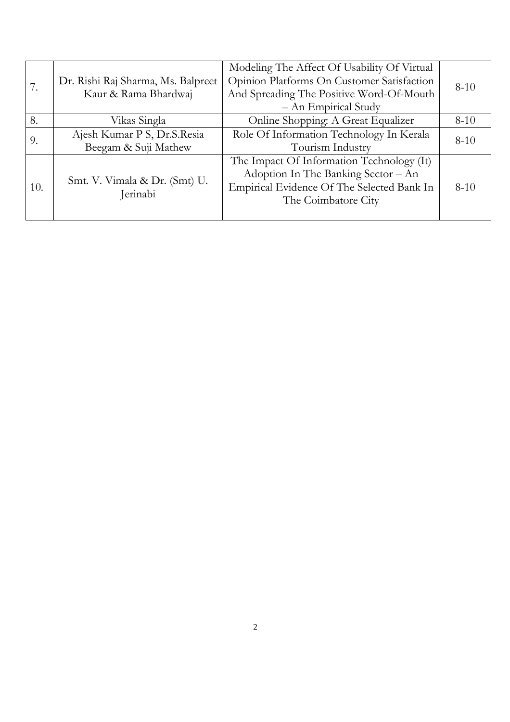|     |                                           | Modeling The Affect Of Usability Of Virtual |          |
|-----|-------------------------------------------|---------------------------------------------|----------|
|     | Dr. Rishi Raj Sharma, Ms. Balpreet        | Opinion Platforms On Customer Satisfaction  | $8 - 10$ |
|     | Kaur & Rama Bhardwaj                      | And Spreading The Positive Word-Of-Mouth    |          |
|     |                                           | $-$ An Empirical Study                      |          |
| 8.  | Vikas Singla                              | Online Shopping: A Great Equalizer          | $8 - 10$ |
|     | Ajesh Kumar P S, Dr.S.Resia               | Role Of Information Technology In Kerala    | $8 - 10$ |
| 9.  | Beegam & Suji Mathew                      | Tourism Industry                            |          |
|     |                                           | The Impact Of Information Technology (It)   |          |
| 10. | Smt. V. Vimala & Dr. (Smt) U.<br>Jerinabi | Adoption In The Banking Sector - An         |          |
|     |                                           | Empirical Evidence Of The Selected Bank In  | $8 - 10$ |
|     |                                           | The Coimbatore City                         |          |
|     |                                           |                                             |          |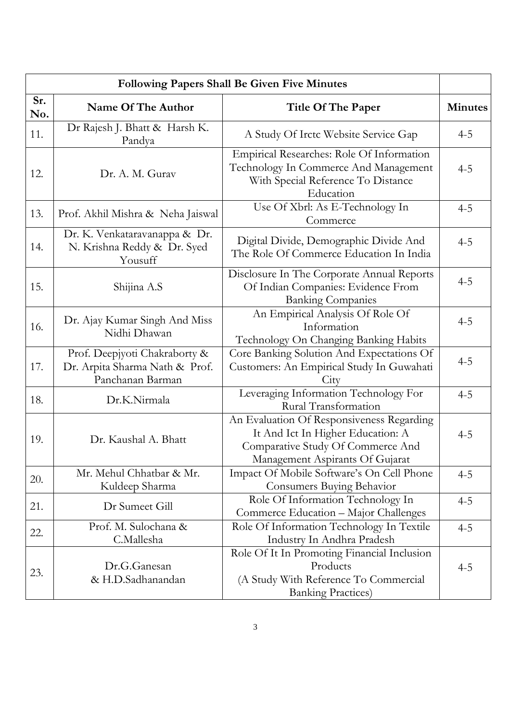| <b>Following Papers Shall Be Given Five Minutes</b> |                                                                                     |                                                                                                                                                        |                |
|-----------------------------------------------------|-------------------------------------------------------------------------------------|--------------------------------------------------------------------------------------------------------------------------------------------------------|----------------|
| Sr.<br>No.                                          | Name Of The Author                                                                  | <b>Title Of The Paper</b>                                                                                                                              | <b>Minutes</b> |
| 11.                                                 | Dr Rajesh J. Bhatt & Harsh K.<br>Pandya                                             | A Study Of Irctc Website Service Gap                                                                                                                   | $4 - 5$        |
| 12.                                                 | Dr. A. M. Gurav                                                                     | Empirical Researches: Role Of Information<br>Technology In Commerce And Management<br>With Special Reference To Distance<br>Education                  | $4 - 5$        |
| 13.                                                 | Prof. Akhil Mishra & Neha Jaiswal                                                   | Use Of Xbrl: As E-Technology In<br>Commerce                                                                                                            | $4 - 5$        |
| 14.                                                 | Dr. K. Venkataravanappa & Dr.<br>N. Krishna Reddy & Dr. Syed<br>Yousuff             | Digital Divide, Demographic Divide And<br>The Role Of Commerce Education In India                                                                      | $4 - 5$        |
| 15.                                                 | Shijina A.S                                                                         | Disclosure In The Corporate Annual Reports<br>Of Indian Companies: Evidence From<br><b>Banking Companies</b>                                           | $4 - 5$        |
| 16.                                                 | Dr. Ajay Kumar Singh And Miss<br>Nidhi Dhawan                                       | An Empirical Analysis Of Role Of<br>Information<br>Technology On Changing Banking Habits                                                               | $4 - 5$        |
| 17.                                                 | Prof. Deepjyoti Chakraborty &<br>Dr. Arpita Sharma Nath & Prof.<br>Panchanan Barman | Core Banking Solution And Expectations Of<br>Customers: An Empirical Study In Guwahati<br>City                                                         | $4 - 5$        |
| 18.                                                 | Dr.K.Nirmala                                                                        | Leveraging Information Technology For<br>Rural Transformation                                                                                          | $4 - 5$        |
| 19.                                                 | Dr. Kaushal A. Bhatt                                                                | An Evaluation Of Responsiveness Regarding<br>It And Ict In Higher Education: A<br>Comparative Study Of Commerce And<br>Management Aspirants Of Gujarat | $4 - 5$        |
| 20.                                                 | Mr. Mehul Chhatbar & Mr.<br>Kuldeep Sharma                                          | Impact Of Mobile Software's On Cell Phone<br>Consumers Buying Behavior                                                                                 | $4 - 5$        |
| 21.                                                 | Dr Sumeet Gill                                                                      | Role Of Information Technology In<br>Commerce Education - Major Challenges                                                                             | $4 - 5$        |
| 22.                                                 | Prof. M. Sulochana &<br>C.Mallesha                                                  | Role Of Information Technology In Textile<br>Industry In Andhra Pradesh                                                                                | $4 - 5$        |
| 23.                                                 | Dr.G.Ganesan<br>& H.D.Sadhanandan                                                   | Role Of It In Promoting Financial Inclusion<br>Products<br>(A Study With Reference To Commercial<br><b>Banking Practices</b> )                         | $4 - 5$        |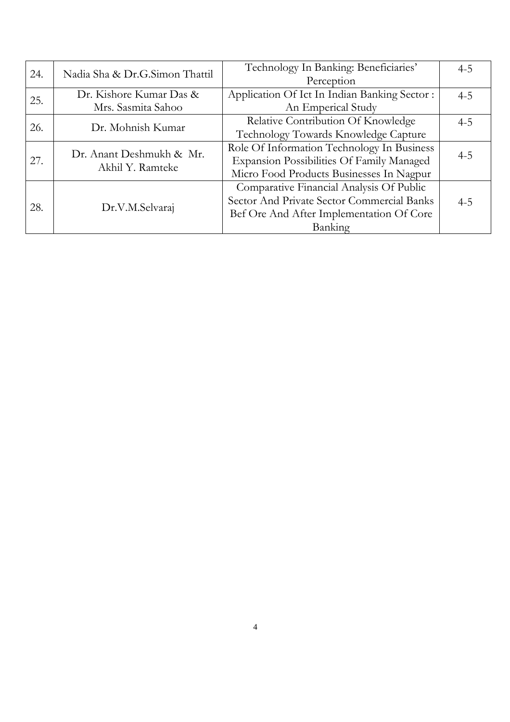| 24. | Nadia Sha & Dr.G.Simon Thattil               | Technology In Banking: Beneficiaries'        | $4 - 5$ |
|-----|----------------------------------------------|----------------------------------------------|---------|
|     |                                              | Perception                                   |         |
| 25. | Dr. Kishore Kumar Das &                      | Application Of Ict In Indian Banking Sector: | $4 - 5$ |
|     | Mrs. Sasmita Sahoo                           | An Emperical Study                           |         |
| 26. | Dr. Mohnish Kumar                            | Relative Contribution Of Knowledge           | $4 - 5$ |
|     |                                              | Technology Towards Knowledge Capture         |         |
|     | Dr. Anant Deshmukh & Mr.<br>Akhil Y. Ramteke | Role Of Information Technology In Business   |         |
| 27. |                                              | Expansion Possibilities Of Family Managed    | $4 - 5$ |
|     |                                              | Micro Food Products Businesses In Nagpur     |         |
| 28. |                                              | Comparative Financial Analysis Of Public     |         |
|     | Dr.V.M.Selvaraj                              | Sector And Private Sector Commercial Banks   | $4 - 5$ |
|     |                                              | Bef Ore And After Implementation Of Core     |         |
|     |                                              | Banking                                      |         |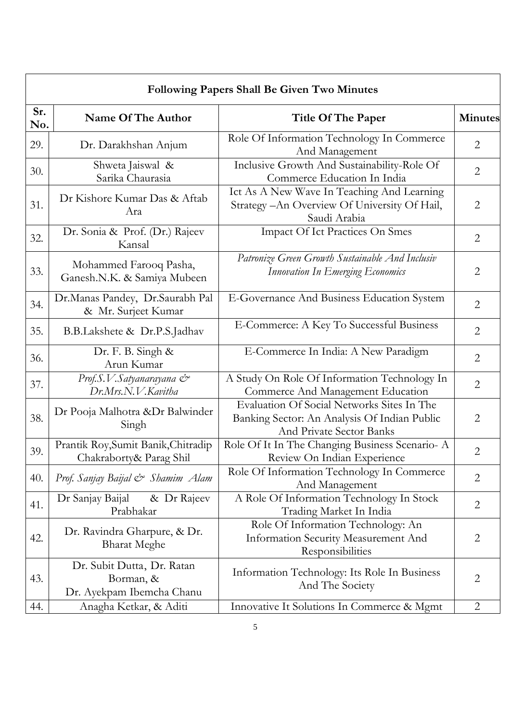| <b>Following Papers Shall Be Given Two Minutes</b> |                                                                      |                                                                                                                               |                |
|----------------------------------------------------|----------------------------------------------------------------------|-------------------------------------------------------------------------------------------------------------------------------|----------------|
| Sr.<br>No.                                         | Name Of The Author                                                   | Title Of The Paper                                                                                                            | <b>Minutes</b> |
| 29.                                                | Dr. Darakhshan Anjum                                                 | Role Of Information Technology In Commerce<br>And Management                                                                  | $\overline{2}$ |
| 30.                                                | Shweta Jaiswal &<br>Sarika Chaurasia                                 | Inclusive Growth And Sustainability-Role Of<br>Commerce Education In India                                                    | $\overline{2}$ |
| 31.                                                | Dr Kishore Kumar Das & Aftab<br>Ara                                  | Ict As A New Wave In Teaching And Learning<br>Strategy-An Overview Of University Of Hail,<br>Saudi Arabia                     | $\overline{2}$ |
| 32.                                                | Dr. Sonia & Prof. (Dr.) Rajeev<br>Kansal                             | <b>Impact Of Ict Practices On Smes</b>                                                                                        | $\overline{2}$ |
| 33.                                                | Mohammed Farooq Pasha,<br>Ganesh.N.K. & Samiya Mubeen                | Patronize Green Growth Sustainable And Inclusiv<br>Innovation In Emerging Economics                                           | $\overline{2}$ |
| 34.                                                | Dr.Manas Pandey, Dr.Saurabh Pal<br>& Mr. Surjeet Kumar               | E-Governance And Business Education System                                                                                    | $\overline{2}$ |
| 35.                                                | B.B.Lakshete & Dr.P.S.Jadhav                                         | E-Commerce: A Key To Successful Business                                                                                      | $\overline{2}$ |
| 36.                                                | Dr. F. B. Singh &<br>Arun Kumar                                      | E-Commerce In India: A New Paradigm                                                                                           | $\overline{2}$ |
| 37.                                                | Prof.S.V.Satyanarayana $\mathcal{C}^*$<br>Dr.Mrs.N.V.Kavitha         | A Study On Role Of Information Technology In<br>Commerce And Management Education                                             | $\overline{2}$ |
| 38.                                                | Dr Pooja Malhotra &Dr Balwinder<br>Singh                             | Evaluation Of Social Networks Sites In The<br>Banking Sector: An Analysis Of Indian Public<br><b>And Private Sector Banks</b> | $\overline{2}$ |
| 39.                                                | Prantik Roy, Sumit Banik, Chitradip<br>Chakraborty& Parag Shil       | Role Of It In The Changing Business Scenario- A<br>Review On Indian Experience                                                | $\overline{2}$ |
| 40.                                                | Prof. Sanjay Baijal & Shamim Alam                                    | Role Of Information Technology In Commerce<br>And Management                                                                  | $\overline{2}$ |
| 41.                                                | Dr Sanjay Baijal<br>& Dr Rajeev<br>Prabhakar                         | A Role Of Information Technology In Stock<br>Trading Market In India                                                          | $\overline{2}$ |
| 42.                                                | Dr. Ravindra Gharpure, & Dr.<br><b>Bharat Meghe</b>                  | Role Of Information Technology: An<br><b>Information Security Measurement And</b><br>Responsibilities                         | $\overline{2}$ |
| 43.                                                | Dr. Subit Dutta, Dr. Ratan<br>Borman, &<br>Dr. Ayekpam Ibemcha Chanu | Information Technology: Its Role In Business<br>And The Society                                                               | 2              |
| 44.                                                | Anagha Ketkar, & Aditi                                               | Innovative It Solutions In Commerce & Mgmt                                                                                    | $\overline{2}$ |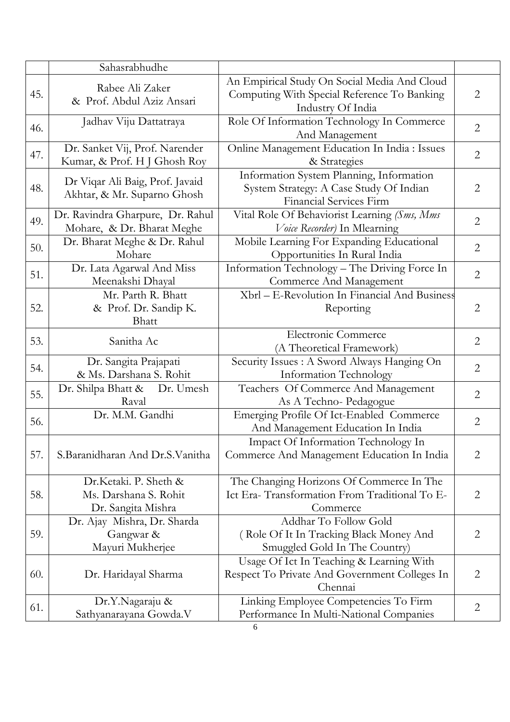|     | Sahasrabhudhe                                                        |                                                                                                                       |                |
|-----|----------------------------------------------------------------------|-----------------------------------------------------------------------------------------------------------------------|----------------|
| 45. | Rabee Ali Zaker<br>& Prof. Abdul Aziz Ansari                         | An Empirical Study On Social Media And Cloud<br>Computing With Special Reference To Banking<br>Industry Of India      | $\mathbf{2}$   |
| 46. | Jadhav Viju Dattatraya                                               | Role Of Information Technology In Commerce<br>And Management                                                          | $\overline{2}$ |
| 47. | Dr. Sanket Vij, Prof. Narender<br>Kumar, & Prof. H J Ghosh Roy       | Online Management Education In India : Issues<br>& Strategies                                                         | $\overline{2}$ |
| 48. | Dr Viqar Ali Baig, Prof. Javaid<br>Akhtar, & Mr. Suparno Ghosh       | Information System Planning, Information<br>System Strategy: A Case Study Of Indian<br><b>Financial Services Firm</b> | $\overline{2}$ |
| 49. | Dr. Ravindra Gharpure, Dr. Rahul<br>Mohare, & Dr. Bharat Meghe       | Vital Role Of Behaviorist Learning (Sms, Mms<br>Voice Recorder) In Mlearning                                          | $\overline{2}$ |
| 50. | Dr. Bharat Meghe & Dr. Rahul<br>Mohare                               | Mobile Learning For Expanding Educational<br>Opportunities In Rural India                                             | $\overline{2}$ |
| 51. | Dr. Lata Agarwal And Miss<br>Meenakshi Dhayal                        | Information Technology - The Driving Force In<br>Commerce And Management                                              | $\overline{2}$ |
| 52. | Mr. Parth R. Bhatt<br>& Prof. Dr. Sandip K.<br>Bhatt                 | Xbrl - E-Revolution In Financial And Business<br>Reporting                                                            | $\overline{2}$ |
| 53. | Sanitha Ac                                                           | Electronic Commerce<br>(A Theoretical Framework)                                                                      | $\mathbf{2}$   |
| 54. | Dr. Sangita Prajapati<br>& Ms. Darshana S. Rohit                     | Security Issues : A Sword Always Hanging On<br><b>Information Technology</b>                                          | $\overline{2}$ |
| 55. | Dr. Shilpa Bhatt & Dr. Umesh<br>Raval                                | Teachers Of Commerce And Management<br>As A Techno-Pedagogue                                                          | $\mathbf{2}$   |
| 56. | Dr. M.M. Gandhi                                                      | Emerging Profile Of Ict-Enabled Commerce<br>And Management Education In India                                         | $\overline{2}$ |
| 57. | S. Baranidharan And Dr. S. Vanitha                                   | Impact Of Information Technology In<br>Commerce And Management Education In India                                     | $\overline{2}$ |
| 58. | Dr.Ketaki. P. Sheth &<br>Ms. Darshana S. Rohit<br>Dr. Sangita Mishra | The Changing Horizons Of Commerce In The<br>Ict Era-Transformation From Traditional To E-<br>Commerce                 | $\overline{2}$ |
| 59. | Dr. Ajay Mishra, Dr. Sharda<br>Gangwar &<br>Mayuri Mukherjee         | Addhar To Follow Gold<br>(Role Of It In Tracking Black Money And<br>Smuggled Gold In The Country)                     | $\overline{2}$ |
| 60. | Dr. Haridayal Sharma                                                 | Usage Of Ict In Teaching & Learning With<br>Respect To Private And Government Colleges In<br>Chennai                  | $\overline{2}$ |
| 61. | Dr.Y.Nagaraju &<br>Sathyanarayana Gowda.V                            | Linking Employee Competencies To Firm<br>Performance In Multi-National Companies                                      | $\overline{2}$ |